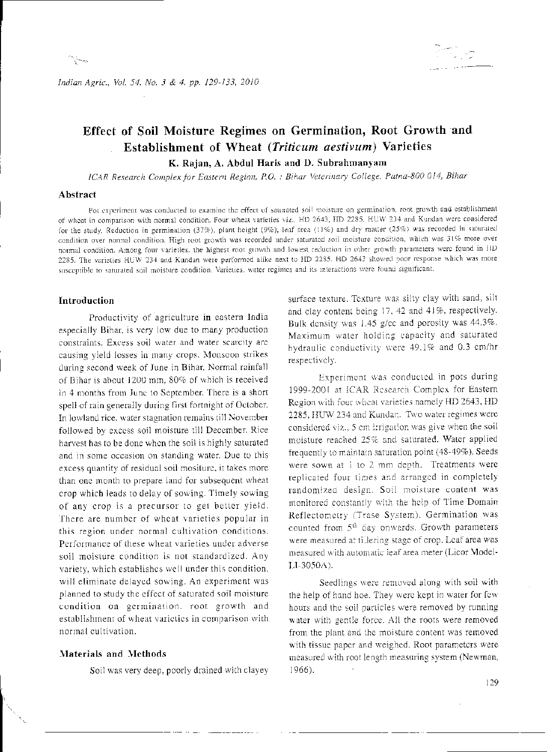Indian Agric., Vol. 54, No. 3 & 4, pp. 129-133, 2010

# Effect of Soil Moisture Regimes on Germination, Root Growth and **Establishment of Wheat (Triticum aestivum) Varieties**

K. Rajan, A. Abdul Haris and D. Subrahmanyam

ICAR Research Complex for Eastern Region, P.O. : Bihar Veterinary College, Patna-800 014, Bihar

#### Abstract

Pot experiment was conducted to examine the effect of saturated soil moisture on germination, root growth and establishment of wheat in comparison with normal condition. Four wheat varieties viz., HD 2643, HD 2285. HUW 234 and Kundan were considered for the study. Reduction in germination (37%), plant height (9%), leaf area (11%) and dry matter (25%) was recorded in saturated condition over normal condition. High root growth was recorded under saturated soil moisture condition, which was 31% more over normal condition. Among four varieties, the highest root growth and lowest reduction in other growth parameters were found in HD 2285. The varieties HUW 234 and Kundan were performed alike next to HD 2285. HD 2643 showed poor response which was more susceptible to saturated soil moisture condition. Varieties, water regimes and its interactions were found significant.

## Introduction

Productivity of agriculture in castern India especially Bihar, is very low due to many production constraints. Excess soil water and water scarcity are causing yield losses in many crops. Monsoon strikes during second week of June in Bihar, Normal rainfall of Bihar is about 1200 mm. 80% of which is received in 4 months from June to September. There is a short spell of rain generally during first fortnight of October. In lowland rice, water stagnation remains till November followed by excess soil moisture till December. Rice harvest has to be done when the soil is highly saturated and in some occasion on standing water. Due to this excess quantity of residual soil mositure, it takes more than one month to prepare land for subsequent wheat crop which leads to delay of sowing. Timely sowing of any crop is a precursor to get better yield. There are number of wheat varieties popular in this region under normal cultivation conditions. Performance of these wheat varieties under adverse soil moisture condition is not standardized. Any variety, which establishes well under this condition, will eliminate delayed sowing. An experiment was planned to study the effect of saturated soil moisture condition on germination, root growth and establishment of wheat varieties in comparison with normal cultivation.

### Materials and Methods

Soil was very deep, poorly drained with clayey

surface texture. Texture was silty clay with sand, silt and clay content being 17, 42 and 41%, respectively. Bulk density was  $1.45$  g/cc and porosity was  $44.3\%$ . Maximum water holding capacity and saturated hydraulic conductivity were 49.1% and 0.3 cm/hr respectively.

Experiment was conducted in pots during 1999-2001 at ICAR Research Complex for Eastern Region with four wheat varieties namely HD 2643, HD 2285, HUW 234 and Kundar. Two water regimes were considered viz., 5 cm irrigation was give when the soil moisture reached 25% and saturated. Water applied frequently to maintain saturation point (48-49%). Seeds were sown at i to 2 mm depth. Treatments were replicated four times and arranged in completely randomized design. Soil moisture content was monitored constantly with the help of Time Domain Reflectometry (Trase System). Germination was counted from 5<sup>th</sup> day onwards. Growth parameters were measured at tillering stage of crop. Leaf area was measured with automatic leaf area meter (Licor Model-LI-3050A).

Seedlings were removed along with soil with the help of hand hoe. They were kept in water for few hours and the soil particles were removed by running water with gentle force. All the roots were removed from the plant and the moisture content was removed with tissue paper and weighed. Root parameters were measured with root length measuring system (Newman,  $1966$ ).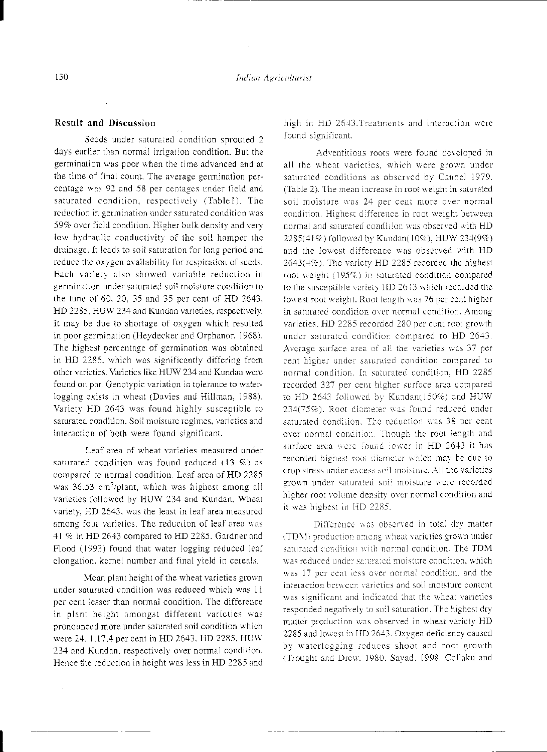#### **Result and Discussion**

Seeds under saturated condition sprouted 2 days earlier than normal irrigation condition. But the germination was poor when the time advanced and at the time of final count. The average germination percentage was 92 and 58 per centages under field and saturated condition, respectively (Table1). The reduction in germination under saturated condition was 59% over field condition. Higher bulk density and very low hydraulic conductivity of the soil hamper the drainage. It leads to soil saturation for long period and reduce the oxygen availability for respiration of seeds. Each variety also showed variable reduction in germination under saturated soil moisture condition to the tune of 60, 20, 35 and 35 per cent of HD 2643, HD 2285, HUW 234 and Kundan varieties, respectively. It may be due to shortage of oxygen which resulted in poor germination (Heydecker and Orphanor, 1968). The highest percentage of germination was obtained in HD 2285, which was significantly differing from other varieties. Varieties like HUW 234 and Kundan were found on par. Genotypic variation in tolerance to waterlogging exists in wheat (Davies and Hillman, 1988). Variety HD 2643 was found highly susceptible to saturated condition. Soil moisture regimes, varieties and interaction of both were found significant.

Leaf area of wheat varieties measured under saturated condition was found reduced (13  $\%$ ) as compared to normal condition. Leaf area of HD 2285 was 36.53 cm<sup>2</sup>/plant, which was highest among all varieties followed by HUW 234 and Kundan, Wheat variety, HD 2643, was the least in leaf area measured among four varieties. The reduction of leaf area was 41 % in HD 2643 compared to HD 2285. Gardner and Flood (1993) found that water logging reduced leaf elongation, kernel number and final yield in cereals.

Mean plant height of the wheat varieties grown under saturated condition was reduced which was 11 per cent lesser than normal condition. The difference in plant height amongst different varieties was pronounced more under saturated soil condition which were 24, 1,17,4 per cent in HD 2643, HD 2285, HUW 234 and Kundan, respectively over normal condition. Hence the reduction in height was less in HD 2285 and high in HD 2643. Treatments and interaction were found significant.

Adventitious roots were found developed in all the wheat varieties, which were grown under saturated conditions as observed by Cannel 1979. (Table 2). The mean increase in root weight in saturated soil moisture was 24 per cent more over normal condition. Highest difference in root weight between normal and saturated condition was observed with HD 2285(41%) followed by Kandan(10%), HUW 234(9%) and the lowest difference was observed with HD 2643(4%). The variety HD 2285 recorded the highest root weight (195%) in saturated condition compared to the susceptible variety HD 2643 which recorded the lowest root weight. Root length was 76 per cent higher in saturated condition over normal condition. Among varieties. HD 2285 recorded 280 per cent root growth under saturated condition compared to HD 2643. Average surface area of all the varieties was 37 per cent higher under saturated condition compared to normal condition. In saturated condition, HD 2285 recorded 327 per cent higher surface area compared to HD 2643 followed by Kundan(150%) and HUW 234(75%). Root diameter was found reduced under saturated condition. The reduction was 38 per cent over normal condition. Though the root length and surface area were found lower in HD 2643 it has recorded highest root diameter which may be due to crop stress under excess soil moisture. All the varieties grown under saturated soil moisture were recorded higher root volume density over normal condition and it was highest in HD 2285.

Difference was observed in total dry matter (TDM) production among wheat varieties grown under saturated condition with normal condition. The TDM was reduced under saturated moisture condition, which was 17 per cent less over normal condition, and the interaction between varieties and soil moisture content. was significant and indicated that the wheat varieties responded negatively to soil saturation. The highest dry matter production was observed in wheat variety HD 2285 and lowest in HD 2643. Oxygen deficiency caused by waterlogging reduces shoot and root growth (Trought and Drew, 1980, Sayad, 1998, Collaku and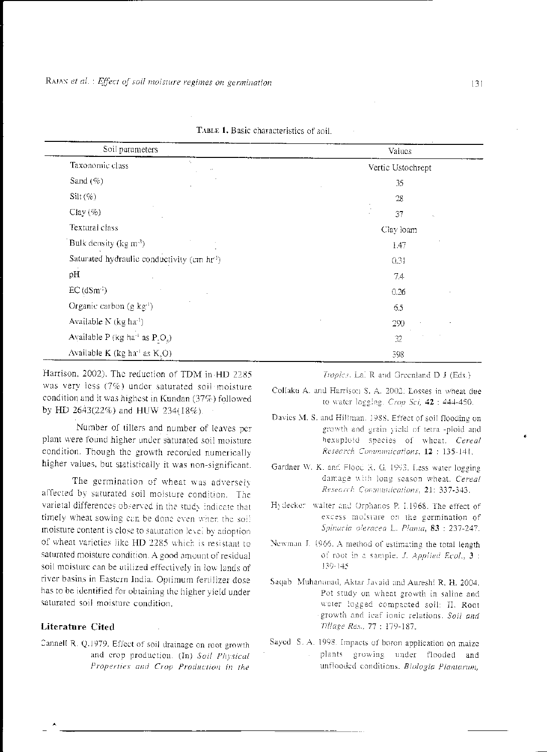| Soil parameters                                        | Values            |
|--------------------------------------------------------|-------------------|
| Taxonomic class                                        | Vertic Ustochrept |
| Sand $(\%)$                                            | 35                |
| $Silt (\%)$                                            | 28                |
| Clay $(\%)$                                            | 37<br>٠.          |
| Textural class                                         | Clay loam         |
| Bulk density (kg $m^{-3}$ )                            | 1.47              |
| Saturated hydraulic conductivity (cm hr <sup>1</sup> ) | 0.31              |
| pH                                                     | 74                |
| $EC$ (dSm <sup>-1</sup> )                              | 0.26              |
| Organic carbon (g kg <sup>-1</sup> )                   | 6.5               |
| Available N (kg ha <sup>-1</sup> )                     | 290               |
| Available P (kg ha <sup>-i</sup> as $P.Os$ )           | 32                |
| Available $K$ (kg ha <sup>-1</sup> as $K_2O$ )         | 398               |

TABLE 1. Basic characteristics of soil.

Harrison, 2002). The reduction of TDM in HD 2285 was very less (7%) under saturated soil moisture condition and it was highest in Kundan (37%) followed by HD 2643(22%) and HUW 234(18%).

Number of tillers and number of leaves per plant were found higher under saturated soil moisture condition. Though the growth recorded numerically higher values, but statistically it was non-significant.

The germination of wheat was adversely affected by saturated soil moisture condition. The varietal differences observed in the study indicate that timely wheat sowing can be done even when the soil moisture content is close to saturation level by adoption of wheat varieties like HD 2285 which is resistant to saturated moisture condition. A good amount of residual soil moisture can be utilized effectively in low lands of river basins in Eastern India. Optimum fertilizer dose has to be identified for obtaining the higher yield under saturated soil moisture condition.

# **Literature Cited**

Cannell R. Q.1979. Effect of soil drainage on root growth and crop production. (In) Soil Physical Properties and Crop Production in the Tropics. Lal R and Greenland D J (Eds.)

- Collaku A. and Harrison S. A. 2002: Losses in wheat due to water logging. Crop Scl, 42 : 444-450.
- Davies M. S. and Hillman, 1988. Effect of soil flooding on growth and grain yield of tetra -ploid and hexaploid species of wheat. Cereal Research Communications, 12: 135-141.
- Gardner W. K. and Flood R. G. 1993. Less water logging damage with long season wheat. Cereal Research Communications, 21: 337-343.
- Hydecker walter and Orphanos P. I.1968. The effect of excess moisture on the germination of Spinacia oleracea L. Planta, 83 : 237-247.
- Newman J. 1966. A method of estimating the total length of root in a sample. J. Applied Ecol., 3 : 139-145
- Saqab Muhananad, Aktar Javaid and Aureshi R, H, 2004. Pot study on wheat growth in saline and water logged compacted soil: II. Root growth and leaf lonic relations. Soil and Tillage Res., 77: 179-187.
- Sayed S. A. 1998. Impacts of boron application on maize plants growing under flooded and unflooded conditions. Biologia Plantarum,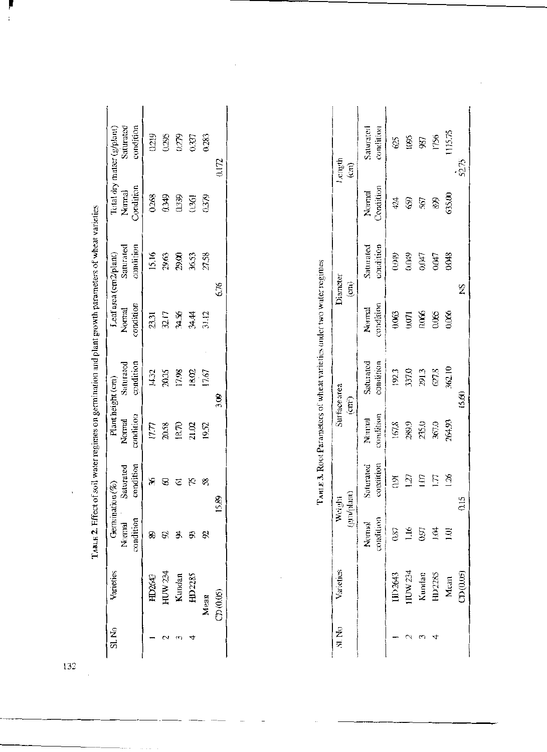|                |               | TABLE 2. Effect of soil water regimes on germination and plant growth parameters of wheat varieties |                        |                                          |                                            |                     |                                                 |                     |                                                      |
|----------------|---------------|-----------------------------------------------------------------------------------------------------|------------------------|------------------------------------------|--------------------------------------------|---------------------|-------------------------------------------------|---------------------|------------------------------------------------------|
| Sl. No         | Varieties     | Germination $(\%)$<br>condition<br>Normal                                                           | condition<br>Saturated | Plant height (cm)<br>condition<br>Normal | condition<br>Saturated                     | condition<br>Normal | condition<br>Saturated<br>Leaf area (cm2/plant) | Condition<br>Normal | condition<br>Saturated<br>Total dry matter (g/plant) |
|                | HD2643        | 8                                                                                                   | X                      | 17.77                                    | 14.32                                      | 23.31               | 15.16                                           | 0.268               | 0219                                                 |
| 2              | HUW 234       | 82                                                                                                  | $\circledast$          | 20.58                                    | 20.35                                      | 32.17               | 29.63                                           | 0.349               | 0.295                                                |
| £              | Kundan        | Æ                                                                                                   | $\rm \Xi$              | 18.70                                    | 17.98                                      | 34.56               | 29.00                                           | 0.339               | 0.279                                                |
| ₹              | HD2285        | 53                                                                                                  | Ś,                     | 21.02                                    | 18.02                                      | अंस                 | 36.53                                           | 0.361               | 0.337                                                |
|                | Mean          | 8                                                                                                   | $\mathcal{S}$          | 19.52                                    | 17.67                                      | 31.12               | 27.58                                           | 0.379               | 0.283                                                |
|                | CD(0.05)      |                                                                                                     | 15.89                  |                                          | 3.09                                       |                     | 6.76                                            |                     | 0.172                                                |
|                |               |                                                                                                     |                        |                                          |                                            |                     |                                                 |                     |                                                      |
| SI.No          | Varietics     |                                                                                                     | (gm/plant)<br>Weight   |                                          | Surface area<br>$\left(\text{cm}^2\right)$ |                     | Diameter<br>$\widehat{E}$                       |                     | Length<br>$\widehat{\text{cm}}$                      |
|                |               | condition<br>Normal                                                                                 | condition<br>Saturated | condition<br>Normal                      | Saturated<br>condition                     | condition<br>Normal | condition<br>Saturated                          | Condition<br>Normal | Saturated<br>condition                               |
|                | IJD2643       | 0.87                                                                                                | 0.91                   | 167.8                                    | 192.3                                      | 0.063               | (440)                                           | 424                 | 625                                                  |
| 2              | <b>HUW234</b> | 1.16                                                                                                | ĨΣI                    | 289.9                                    | 337.0                                      | 0.071               | (10049)                                         | 660                 | 1095                                                 |
| S.             | Kundan        | 0.97                                                                                                | ĨЮ                     | 235.0                                    | 291.3                                      | 0.066               | CR0'0                                           | 567                 | 987                                                  |
| $\overline{4}$ | HD2285        | īй                                                                                                  | 177                    | 367.0                                    | $627.8\,$                                  | 0.065               | 0.047                                           | 89                  | 1756                                                 |
|                | Mean          | $\overline{101}$                                                                                    | $\frac{36}{20}$        | 264.93                                   | 362.10                                     | 0.066               | 0.048                                           | 635.00              | 1115.75                                              |
|                | CD(0.05)      |                                                                                                     | 0.15                   |                                          | 15.60                                      |                     | Ž                                               |                     | 52.75                                                |

 $\mathcal{L}_{\text{max}}$  , and  $\mathcal{L}_{\text{max}}$ 

| $\pm$ 3. Root Parameters of wheat varieties under two water regim- |  |
|--------------------------------------------------------------------|--|
|                                                                    |  |
|                                                                    |  |
|                                                                    |  |

| Length<br>$\widehat{\mathrm{cm}}$ | condition<br>Saturated | 625                    | 1095    | 987              | 1756   | 115.75         | 52.75    |      |
|-----------------------------------|------------------------|------------------------|---------|------------------|--------|----------------|----------|------|
|                                   | Condition<br>Normal    | 424                    | S       | 567              | 899    | 635.00         |          |      |
| Diameter                          | condition<br>Saturated | (400)                  | 0.049   | CMO              | CMO    | 0.048          | ž        |      |
| (m)                               | condition<br>Normal    | 0.063                  | 0.071   | 0.066            | 0.065  | 0.066          |          |      |
|                                   | condition<br>Saturated | 192.3                  | 337.0   | 291.3            | 627.8  | 362.10         | 15.60    |      |
| Surface area<br>$(\text{cm}^2)$   | condition<br>Normal    | 167.8                  | 289.9   | 235.0            | 367.0  | 264.93         |          |      |
|                                   |                        | condition<br>Saturated | 59      | $\overline{127}$ | ΙÜΙ    | E              | VS.      | 0.15 |
| (gm/plant)<br>Weight              | condition<br>Normal    | 0.87                   | 1.16    | 0.97             | ÌÜ     | $\overline{5}$ |          |      |
| Varietics                         |                        | IJD2643                | HUW 234 | Kundan           | HD2285 | Mean           | CD(0.05) |      |
| SI, No                            |                        |                        |         |                  |        |                |          |      |

 $\mathcal{L}^{\text{max}}_{\text{max}}$